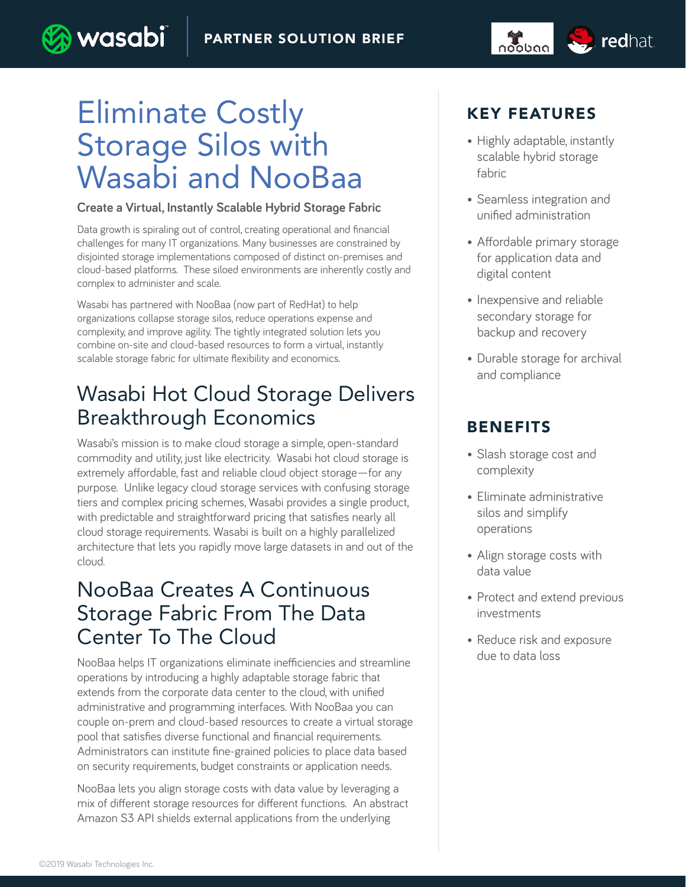#### PARTNER SOLUTION BRIEF



wasabi

#### **Create a Virtual, Instantly Scalable Hybrid Storage Fabric**

Data growth is spiraling out of control, creating operational and financial challenges for many IT organizations. Many businesses are constrained by disjointed storage implementations composed of distinct on-premises and cloud-based platforms. These siloed environments are inherently costly and complex to administer and scale.

Wasabi has partnered with NooBaa (now part of RedHat) to help organizations collapse storage silos, reduce operations expense and complexity, and improve agility. The tightly integrated solution lets you combine on-site and cloud-based resources to form a virtual, instantly scalable storage fabric for ultimate flexibility and economics.

# Wasabi Hot Cloud Storage Delivers Breakthrough Economics

Wasabi's mission is to make cloud storage a simple, open-standard commodity and utility, just like electricity. Wasabi hot cloud storage is extremely affordable, fast and reliable cloud object storage—for any purpose. Unlike legacy cloud storage services with confusing storage tiers and complex pricing schemes, Wasabi provides a single product, with predictable and straightforward pricing that satisfies nearly all cloud storage requirements. Wasabi is built on a highly parallelized architecture that lets you rapidly move large datasets in and out of the cloud.

### NooBaa Creates A Continuous Storage Fabric From The Data Center To The Cloud

NooBaa helps IT organizations eliminate inefficiencies and streamline operations by introducing a highly adaptable storage fabric that extends from the corporate data center to the cloud, with unified administrative and programming interfaces. With NooBaa you can couple on-prem and cloud-based resources to create a virtual storage pool that satisfies diverse functional and financial requirements. Administrators can institute fine-grained policies to place data based on security requirements, budget constraints or application needs.

NooBaa lets you align storage costs with data value by leveraging a mix of different storage resources for different functions. An abstract Amazon S3 API shields external applications from the underlying

### KEY FEATURES

noobng **Source** redhat

- Highly adaptable, instantly scalable hybrid storage fabric
- Seamless integration and unified administration
- Affordable primary storage for application data and digital content
- Inexpensive and reliable secondary storage for backup and recovery
- Durable storage for archival and compliance

### BENEFITS

- Slash storage cost and complexity
- Eliminate administrative silos and simplify operations
- Align storage costs with data value
- Protect and extend previous investments
- Reduce risk and exposure due to data loss